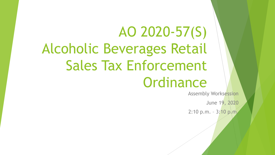# AO 2020-57(S) Alcoholic Beverages Retail Sales Tax Enforcement **Ordinance**

Assembly Worksession

June 19, 2020

2:10 p.m. - 3:10 p.m.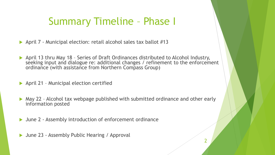#### Summary Timeline – Phase I

- April 7 Municipal election: retail alcohol sales tax ballot #13
- April 13 thru May 18 Series of Draft Ordinances distributed to Alcohol Industry, seeking input and dialogue re: additional changes / refinement to the enforcement ordinance (with assistance from Northern Compass Group)
- ▶ April 21 Municipal election certified
- ▶ May 22 Alcohol tax webpage published with submitted ordinance and other early information posted
- June 2 Assembly introduction of enforcement ordinance
- ▶ June 23 Assembly Public Hearing / Approval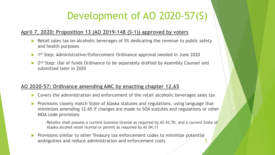## Development of AO 2020-57(S)

#### **April 7, 2020: Proposition 13 (AO 2019-148 (S-1)) approved by voters**

- Retail sales tax on alcoholic beverages of 5% dedicating the revenue to public safety and health purposes
- 1st Step: Administrative/Enforcement Ordinance approval needed in June 2020
- 2<sup>nd</sup> Step: Use of funds Ordinance to be separately drafted by Assembly Counsel and submitted later in 2020

#### **AO 2020-57: Ordinance amending AMC by enacting chapter 12.65**

- Covers the administration and enforcement of the retail alcoholic beverages sales tax
- Provisions closely match State of Alaska statutes and regulations, using language that minimizes amending 12.65 if changes are made to SOA statutes and regulations or other MOA code provisions
	- $\circ$  Retailer shall possess a current business license as required by AS 43.70, and a current State of Alaska alcohol retail license or permit as required by AS 04.11
- Provisions similar to other Treasury tax enforcement codes to minimize potential ambiguities and reduce administration and enforcement costs 3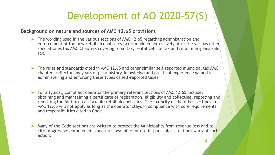## Development of AO 2020-57(S)

#### **Background on nature and sources of AMC 12.65 provisions**

- ▶ The wording used in the various sections of AMC 12.65 regarding administration and enforcement of the new retail alcohol sales tax is modeled extensively after the various other special sales tax AMC Chapters covering room tax, rental vehicle tax and retail marijuana sales tax.
- ▶ The rules and standards cited in AMC 12.65 and other similar self-reported municipal tax AMC chapters reflect many years of prior history, knowledge and practical experience gained in administering and enforcing these types of self-reported taxes.
- For a typical, compliant operator the primary relevant sections of AMC 12.65 include: obtaining and maintaining a certificate of registration, eligibility and collecting, reporting and remitting the 5% tax on all taxable retail alcohol sales. The majority of the other sections in AMC 12.65 will not apply as long as the operator stays in compliance with core requirements and responsibilities cited in Code.
- Many of the Code sections are written to protect the Municipality from revenue loss and to cite progressive enforcement measures available for use if particular situations warrant such action.

4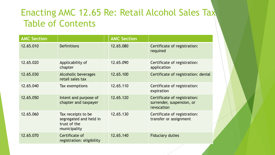#### Enacting AMC 12.65 Re: Retail Alcohol Sales Tax Table of Contents

| <b>AMC Section</b> |                                                                              | <b>AMC Section</b> |                                                                         |
|--------------------|------------------------------------------------------------------------------|--------------------|-------------------------------------------------------------------------|
| 12.65.010          | <b>Definitions</b>                                                           | 12.65.080          | Certificate of registration:<br>required                                |
| 12.65.020          | Applicability of<br>chapter                                                  | 12.65.090          | Certificate of registration:<br>application                             |
| 12.65.030          | <b>Alcoholic beverages</b><br>retail sales tax                               | 12.65.100          | Certificate of registration: denial                                     |
| 12.65.040          | Tax exemptions                                                               | 12.65.110          | Certificate of registration:<br>expiration                              |
| 12.65.050          | Intent and purpose of<br>chapter and taxpayer                                | 12.65.120          | Certificate of registration:<br>surrender, suspension, or<br>revocation |
| 12.65.060          | Tax receipts to be<br>segregated and held in<br>trust of the<br>municipality | 12.65.130          | Certificate of registration:<br>transfer or assignment                  |
| 12.65.070          | Certificate of<br>registration: eligibility                                  | 12.65.140          | <b>Fiduciary duties</b>                                                 |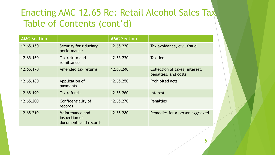#### Enacting AMC 12.65 Re: Retail Alcohol Sales Tax Table of Contents (cont'd)

| <b>AMC Section</b> |                                                           | <b>AMC Section</b> |                                                        |
|--------------------|-----------------------------------------------------------|--------------------|--------------------------------------------------------|
| 12.65.150          | Security for fiduciary<br>performance                     | 12.65.220          | Tax avoidance, civil fraud                             |
| 12.65.160          | Tax return and<br>remittance                              | 12.65.230          | Tax lien                                               |
| 12.65.170          | Amended tax returns                                       | 12.65.240          | Collection of taxes, interest,<br>penalties, and costs |
| 12.65.180          | Application of<br>payments                                | 12.65.250          | <b>Prohibited acts</b>                                 |
| 12.65.190          | Tax refunds                                               | 12.65.260          | Interest                                               |
| 12.65.200          | Confidentiality of<br>records                             | 12.65.270          | <b>Penalties</b>                                       |
| 12.65.210          | Maintenance and<br>inspection of<br>documents and records | 12.65.280          | Remedies for a person aggrieved                        |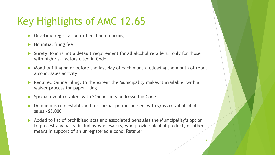## Key Highlights of AMC 12.65

- One-time registration rather than recurring
- No initial filing fee
- Surety Bond is not a default requirement for all alcohol retailers… only for those with high risk factors cited in Code
- Monthly filing on or before the last day of each month following the month of retail alcohol sales activity
- Required Online Filing, to the extent the Municipality makes it available, with a waiver process for paper filing
- Special event retailers with SOA permits addressed in Code
- De minimis rule established for special permit holders with gross retail alcohol sales  $<$  \$5,000
- Added to list of prohibited acts and associated penalties the Municipality's option to protest any party, including wholesalers, who provide alcohol product, or other means in support of an unregistered alcohol Retailer

7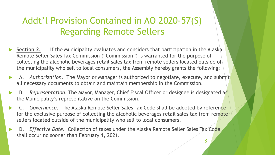#### Addt'l Provision Contained in AO 2020-57(S) Regarding Remote Sellers

- **Section 2.** If the Municipality evaluates and considers that participation in the Alaska Remote Seller Sales Tax Commission ("Commission") is warranted for the purpose of collecting the alcoholic beverages retail sales tax from remote sellers located outside of the municipality who sell to local consumers, the Assembly hereby grants the following:
- A. *Authorization.* The Mayor or Manager is authorized to negotiate, execute, and submit all necessary documents to obtain and maintain membership in the Commission.
- B. *Representation*. The Mayor, Manager, Chief Fiscal Officer or designee is designated as the Municipality's representative on the Commission.
- C. *Governance*. The Alaska Remote Seller Sales Tax Code shall be adopted by reference for the exclusive purpose of collecting the alcoholic beverages retail sales tax from remote sellers located outside of the municipality who sell to local consumers.
- D. *Effective Date*. Collection of taxes under the Alaska Remote Seller Sales Tax Code shall occur no sooner than February 1, 2021.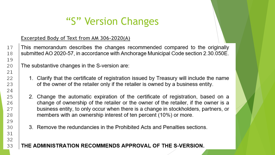## "S" Version Changes

#### **Excerpted Body of Text from AM 306-2020(A)**

This memorandum describes the changes recommended compared to the originally submitted AO 2020-57, in accordance with Anchorage Municipal Code section 2.30.050E.

The substantive changes in the S-version are:

- 1. Clarify that the certificate of registration issued by Treasury will include the name of the owner of the retailer only if the retailer is owned by a business entity.
- 2. Change the automatic expiration of the certificate of registration, based on a change of ownership of the retailer or the owner of the retailer, if the owner is a business entity, to only occur when there is a change in stockholders, partners, or members with an ownership interest of ten percent (10%) or more.
- 3. Remove the redundancies in the Prohibited Acts and Penalties sections.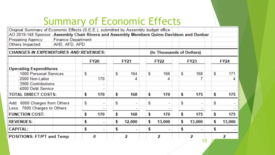## Summary of Economic Effects

Original Summary of Economic Effects (S.E.E.), submitted by Assembly budget office AO 2019-148 Sponsor: Assembly Chair Rivera and Assembly Members Quinn-Davidson and Dunbar **Preparing Agency: Finance Department** Others Impacted: AHD, AFD, APD **CHANGES IN EXPENDITURES AND REVENUES:** (In Thousands of Dollars) **FY21 FY22 FY23 FY20 FY24 Operating Expenditures** 1000 Personal Services \$ S. 164 \$. 166 S. 168 S.  $171$ 2000 Non-Labor 170 4. 4. 3900 Contributions  $\sim$ 4000 Debt Service **TOTAL DIRECT COSTS:** 170 168 \$. 170 \$ 175 175 \$ \$ \$ Add: 6000 Charges from Others S. S. S. \$ \$ Less: 7000 Charges to Others \$ **FUNCTION COST:** \$ 170 \$ 168 170 \$ 175 \$ 175 **REVENUES:** \$ \$. 12,000 \$. 13,000 \$ 13,000 \$ 13,000  $\mathcal{L}_{\text{max}}$ **CAPITAL:** \$ \$ \$ \$ \$  $\mathcal{L}(\mathcal{A})$ L. **POSITIONS: FT/PT and Temp** 2 2 2 2 0 10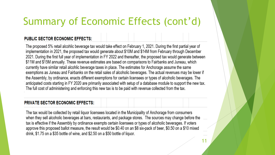## Summary of Economic Effects (cont'd)

#### **PUBLIC SECTOR ECONOMIC EFFECTS:**

The proposed 5% retail alcohlic beverage tax would take effect on February 1, 2021. During the first partial year of implementation in 2021, the proposed tax would generate about \$10M and \$14M from February through December 2021. During the first full year of implementation in FY 2022 and thereafter, the proposed tax would generate between \$11M and \$15M annually. These revenue estimates are based on comparisons to Fairbanks and Juneau, which currently have similar retail alcohlic beverage taxes in place. The estimates for Anchorage assume the same exemptions as Juneau and Fairbanks on the retail sales of alcoholic beverages. The actual revenues may be lower if the Assembly, by ordinance, enacts different exemptions for certain licensees or types of alcoholic beverages. The anticipated costs starting in FY 2020 are primarily associated with setup of a database module to support the new tax. The full cost of administering and enforcing this new tax is to be paid with revenue collected from the tax.

#### **PRIVATE SECTOR ECONOMIC EFFECTS:**

The tax would be collected by retail liquor licensees located in the Municipality of Anchorage from consumers when they sell alcoholic beverages at bars, restaurants, and package stores. The sources may change before the tax is effective if the Assembly by ordinance exempts certain licensees or types of alcoholic beverages. If voters approve this proposed ballot measure, the result would be \$0.40 on an \$8 six-pack of beer, \$0.50 on a \$10 mixed drink, \$1.75 on a \$35 bottle of wine, and \$2.50 on a \$50 bottle of liquor.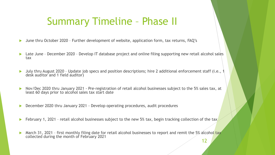## Summary Timeline – Phase II

- June thru October 2020 Further development of website, application form, tax returns, FAQ's
- ▶ Late June December 2020 Develop IT database project and online filing supporting new retail alcohol sales tax
- ▶ July thru August 2020 Update job specs and position descriptions; hire 2 additional enforcement staff (i.e., 1 desk auditor and 1 field auditor)
- Nov/Dec 2020 thru January 2021 Pre-registration of retail alcohol businesses subject to the 5% sales tax, at least 60 days prior to alcohol sales tax start date
- ▶ December 2020 thru January 2021 Develop operating procedures, audit procedures
- February 1, 2021 retail alcohol businesses subject to the new 5% tax, begin tracking collection of the tax
- March 31, 2021 first monthly filing date for retail alcohol businesses to report and remit the 5% alcohol tax collected during the month of February 2021